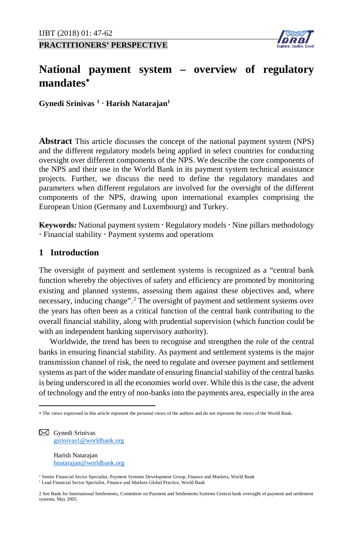**PRACTITIONERS' PERSPECTIVE**



# **National payment system – overview of regulatory mandates**[∗](#page-0-0)

**Gynedi Srinivas [1](#page-0-1) Harish Natarajan1**

**Abstract** This article discusses the concept of the national payment system (NPS) and the different regulatory models being applied in select countries for conducting oversight over different components of the NPS. We describe the core components of the NPS and their use in the World Bank in its payment system technical assistance projects. Further, we discuss the need to define the regulatory mandates and parameters when different regulators are involved for the oversight of the different components of the NPS, drawing upon international examples comprising the European Union (Germany and Luxembourg) and Turkey.

Keywords: National payment system · Regulatory models · Nine pillars methodology Financial stability Payment systems and operations

# **1 Introduction**

The oversight of payment and settlement systems is recognized as a "central bank function whereby the objectives of safety and efficiency are promoted by monitoring existing and planned systems, assessing them against these objectives and, where necessary, inducing change".<sup>[2](#page-0-2)</sup> The oversight of payment and settlement systems over the years has often been as a critical function of the central bank contributing to the overall financial stability, along with prudential supervision (which function could be with an independent banking supervisory authority).

Worldwide, the trend has been to recognise and strengthen the role of the central banks in ensuring financial stability. As payment and settlement systems is the major transmission channel of risk, the need to regulate and oversee payment and settlement systems as part of the wider mandate of ensuring financial stability of the central banks is being underscored in all the economies world over. While this is the case, the advent of technology and the entry of non-banks into the payments area, especially in the area

<span id="page-0-1"></span> $\boxtimes$  Gynedi Srinivas [gsrinivas1@worldbank.org](mailto:gsrinivas1@worldbank.org)

 $\overline{a}$ 

 Harish Natarajan [hnatarajan@worldbank.org](mailto:hnatarajan@worldbank.org)

<sup>1</sup> Senior Financial Sector Specialist, Payment Systems Development Group, Finance and Markets, World Bank <sup>1</sup> Lead Financial Sector Specialist, Finance and Markets Global Practice, World Bank

<span id="page-0-0"></span><sup>∗</sup> The views expressed in this article represent the personal views of the authors and do not represent the views of the World Bank.

<span id="page-0-2"></span><sup>2</sup> See Bank for International Settlements, Committee on Payment and Settlements Systems Central bank oversight of payment and settlement systems, May 2005.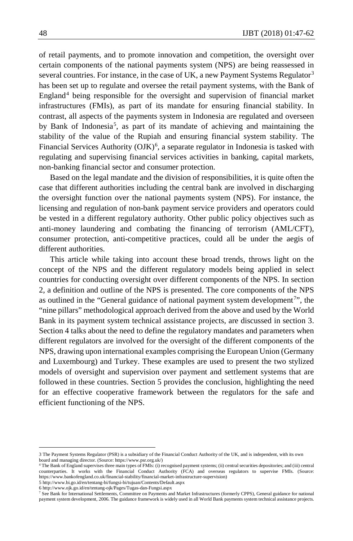of retail payments, and to promote innovation and competition, the oversight over certain components of the national payments system (NPS) are being reassessed in several countries. For instance, in the case of UK, a new Payment Systems Regulator<sup>[3](#page-1-0)</sup> has been set up to regulate and oversee the retail payment systems, with the Bank of England[4](#page-1-1) being responsible for the oversight and supervision of financial market infrastructures (FMIs), as part of its mandate for ensuring financial stability. In contrast, all aspects of the payments system in Indonesia are regulated and overseen by Bank of Indonesia<sup>[5](#page-1-2)</sup>, as part of its mandate of achieving and maintaining the stability of the value of the Rupiah and ensuring financial system stability. The Financial Services Authority (OJK)<sup>[6](#page-1-3)</sup>, a separate regulator in Indonesia is tasked with regulating and supervising financial services activities in banking, capital markets, non-banking financial sector and consumer protection.

Based on the legal mandate and the division of responsibilities, it is quite often the case that different authorities including the central bank are involved in discharging the oversight function over the national payments system (NPS). For instance, the licensing and regulation of non-bank payment service providers and operators could be vested in a different regulatory authority. Other public policy objectives such as anti-money laundering and combating the financing of terrorism (AML/CFT), consumer protection, anti-competitive practices, could all be under the aegis of different authorities.

This article while taking into account these broad trends, throws light on the concept of the NPS and the different regulatory models being applied in select countries for conducting oversight over different components of the NPS. In section 2, a definition and outline of the NPS is presented. The core components of the NPS as outlined in the "General guidance of national payment system development<sup>[7](#page-1-4)</sup>", the "nine pillars" methodological approach derived from the above and used by the World Bank in its payment system technical assistance projects, are discussed in section 3. Section 4 talks about the need to define the regulatory mandates and parameters when different regulators are involved for the oversight of the different components of the NPS, drawing upon international examples comprising the European Union (Germany and Luxembourg) and Turkey. These examples are used to present the two stylized models of oversight and supervision over payment and settlement systems that are followed in these countries. Section 5 provides the conclusion, highlighting the need for an effective cooperative framework between the regulators for the safe and efficient functioning of the NPS.

<span id="page-1-0"></span><sup>3</sup> The Payment Systems Regulator (PSR) is a subsidiary of the Financial Conduct Authority of the UK, and is independent, with its own board and managing director. (Source: https://www.psr.org.uk/)

<span id="page-1-1"></span>The Bank of England supervises three main types of FMIs: (i) recognised payment systems; (ii) central securities depositories; and (iii) central counterparties. It works with the Financial Conduct Authority (FCA) and overseas regulators to supervise FMIs. (Source: https://www.bankofengland.co.uk/financial-stability/financial-market-infrastructure-supervision)

<span id="page-1-2"></span><sup>5</sup> http://www.bi.go.id/en/tentang-bi/fungsi-bi/tujuan/Contents/Default.aspx

<span id="page-1-3"></span><sup>6</sup> http://www.ojk.go.id/en/tentang-ojk/Pages/Tugas-dan-Fungsi.aspx

<span id="page-1-4"></span><sup>7</sup> See Bank for International Settlements, Committee on Payments and Market Infrastructures (formerly CPPS), General guidance for national payment system development, 2006. The guidance framework is widely used in all World Bank payments system technical assistance projects.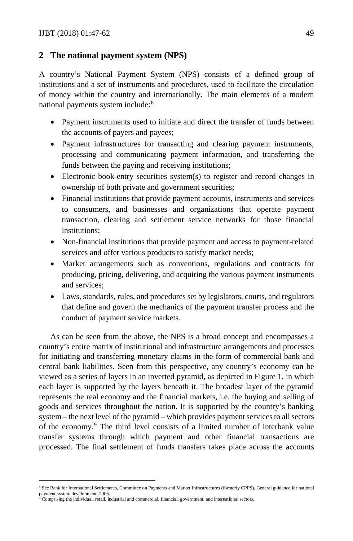## **2 The national payment system (NPS)**

A country's National Payment System (NPS) consists of a defined group of institutions and a set of instruments and procedures, used to facilitate the circulation of money within the country and internationally. The main elements of a modern national payments system include:<sup>[8](#page-2-0)</sup>

- Payment instruments used to initiate and direct the transfer of funds between the accounts of payers and payees;
- Payment infrastructures for transacting and clearing payment instruments, processing and communicating payment information, and transferring the funds between the paying and receiving institutions;
- Electronic book-entry securities system(s) to register and record changes in ownership of both private and government securities;
- Financial institutions that provide payment accounts, instruments and services to consumers, and businesses and organizations that operate payment transaction, clearing and settlement service networks for those financial institutions;
- Non-financial institutions that provide payment and access to payment-related services and offer various products to satisfy market needs;
- Market arrangements such as conventions, regulations and contracts for producing, pricing, delivering, and acquiring the various payment instruments and services;
- Laws, standards, rules, and procedures set by legislators, courts, and regulators that define and govern the mechanics of the payment transfer process and the conduct of payment service markets.

As can be seen from the above, the NPS is a broad concept and encompasses a country's entire matrix of institutional and infrastructure arrangements and processes for initiating and transferring monetary claims in the form of commercial bank and central bank liabilities. Seen from this perspective, any country's economy can be viewed as a series of layers in an inverted pyramid, as depicted in Figure 1, in which each layer is supported by the layers beneath it. The broadest layer of the pyramid represents the real economy and the financial markets, i.e. the buying and selling of goods and services throughout the nation. It is supported by the country's banking system – the next level of the pyramid – which provides payment services to all sectors of the economy.[9](#page-2-1) The third level consists of a limited number of interbank value transfer systems through which payment and other financial transactions are processed. The final settlement of funds transfers takes place across the accounts

l

<span id="page-2-0"></span><sup>8</sup> See Bank for International Settlements, Committee on Payments and Market Infrastructures (formerly CPPS), General guidance for national payment system development, 2006.<br><sup>9</sup> Comprising the individual, retail, industrial and commercial, financial, government, and international sectors.

<span id="page-2-1"></span>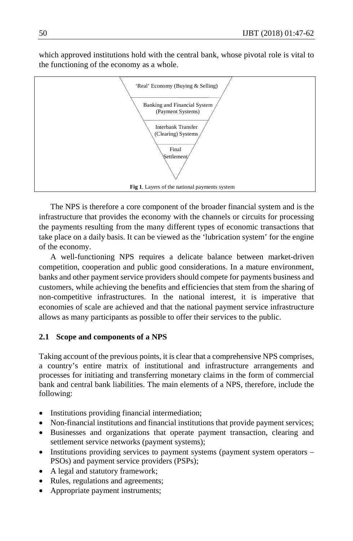which approved institutions hold with the central bank, whose pivotal role is vital to the functioning of the economy as a whole.



The NPS is therefore a core component of the broader financial system and is the infrastructure that provides the economy with the channels or circuits for processing the payments resulting from the many different types of economic transactions that take place on a daily basis. It can be viewed as the 'lubrication system' for the engine of the economy.

A well-functioning NPS requires a delicate balance between market-driven competition, cooperation and public good considerations. In a mature environment, banks and other payment service providers should compete for payments business and customers, while achieving the benefits and efficiencies that stem from the sharing of non-competitive infrastructures. In the national interest, it is imperative that economies of scale are achieved and that the national payment service infrastructure allows as many participants as possible to offer their services to the public.

# **2.1 Scope and components of a NPS**

Taking account of the previous points, it is clear that a comprehensive NPS comprises, a country's entire matrix of institutional and infrastructure arrangements and processes for initiating and transferring monetary claims in the form of commercial bank and central bank liabilities. The main elements of a NPS, therefore, include the following:

- Institutions providing financial intermediation;
- Non-financial institutions and financial institutions that provide payment services;
- Businesses and organizations that operate payment transaction, clearing and settlement service networks (payment systems);
- Institutions providing services to payment systems (payment system operators PSOs) and payment service providers (PSPs);
- A legal and statutory framework;
- Rules, regulations and agreements;
- Appropriate payment instruments;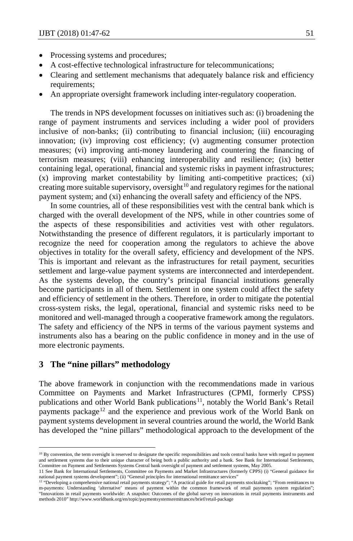- Processing systems and procedures;
- A cost-effective technological infrastructure for telecommunications;
- Clearing and settlement mechanisms that adequately balance risk and efficiency requirements;
- An appropriate oversight framework including inter-regulatory cooperation.

The trends in NPS development focusses on initiatives such as: (i) broadening the range of payment instruments and services including a wider pool of providers inclusive of non-banks; (ii) contributing to financial inclusion; (iii) encouraging innovation; (iv) improving cost efficiency; (v) augmenting consumer protection measures; (vi) improving anti-money laundering and countering the financing of terrorism measures; (viii) enhancing interoperability and resilience; (ix) better containing legal, operational, financial and systemic risks in payment infrastructures; (x) improving market contestability by limiting anti-competitive practices; (xi) creating more suitable supervisory, oversight $10$  and regulatory regimes for the national payment system; and (xi) enhancing the overall safety and efficiency of the NPS.

In some countries, all of these responsibilities vest with the central bank which is charged with the overall development of the NPS, while in other countries some of the aspects of these responsibilities and activities vest with other regulators. Notwithstanding the presence of different regulators, it is particularly important to recognize the need for cooperation among the regulators to achieve the above objectives in totality for the overall safety, efficiency and development of the NPS. This is important and relevant as the infrastructures for retail payment, securities settlement and large-value payment systems are interconnected and interdependent. As the systems develop, the country's principal financial institutions generally become participants in all of them. Settlement in one system could affect the safety and efficiency of settlement in the others. Therefore, in order to mitigate the potential cross-system risks, the legal, operational, financial and systemic risks need to be monitored and well-managed through a cooperative framework among the regulators. The safety and efficiency of the NPS in terms of the various payment systems and instruments also has a bearing on the public confidence in money and in the use of more electronic payments.

## **3 The "nine pillars" methodology**

 $\overline{a}$ 

The above framework in conjunction with the recommendations made in various Committee on Payments and Market Infrastructures (CPMI, formerly CPSS) publications and other World Bank publications<sup>[11](#page-4-1)</sup>, notably the World Bank's Retail payments package<sup>[12](#page-4-2)</sup> and the experience and previous work of the World Bank on payment systems development in several countries around the world, the World Bank has developed the "nine pillars" methodological approach to the development of the

<span id="page-4-0"></span><sup>&</sup>lt;sup>10</sup> By convention, the term oversight is reserved to designate the specific responsibilities and tools central banks have with regard to payment and settlement systems due to their unique character of being both a public authority and a bank. See Bank for International Settlements, Committee on Payment and Settlements Systems Central bank oversight of payment and settlement systems, May 2005.

<span id="page-4-1"></span><sup>11</sup> See Bank for International Settlements, Committee on Payments and Market Infrastructures (formerly CPPS) (i) "General guidance for national payment systems development"; (ii) "General principles for international remittance services"

<span id="page-4-2"></span><sup>12</sup> "Developing a comprehensive national retail payments strategy"; "A practical guide for retail payments stocktaking"; "From remittances to m-payments: Understanding 'alternative' means of payment within the common framework of retail payments system regulation"; "Innovations in retail payments worldwide: A snapshot: Outcomes of the global survey on innovations in retail payments instruments and methods 2010" http://www.worldbank.org/en/topic/paymentsystemsremittances/brief/retail-package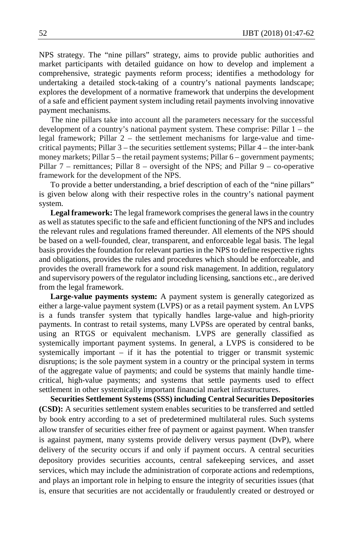NPS strategy. The "nine pillars" strategy, aims to provide public authorities and market participants with detailed guidance on how to develop and implement a comprehensive, strategic payments reform process; identifies a methodology for undertaking a detailed stock-taking of a country's national payments landscape; explores the development of a normative framework that underpins the development of a safe and efficient payment system including retail payments involving innovative payment mechanisms.

The nine pillars take into account all the parameters necessary for the successful development of a country's national payment system. These comprise: Pillar 1 – the legal framework; Pillar 2 – the settlement mechanisms for large-value and timecritical payments; Pillar 3 – the securities settlement systems; Pillar 4 – the inter-bank money markets; Pillar 5 – the retail payment systems; Pillar 6 – government payments; Pillar 7 – remittances; Pillar 8 – oversight of the NPS; and Pillar 9 – co-operative framework for the development of the NPS.

To provide a better understanding, a brief description of each of the "nine pillars" is given below along with their respective roles in the country's national payment system.

**Legal framework:** The legal framework comprises the general laws in the country as well as statutes specific to the safe and efficient functioning of the NPS and includes the relevant rules and regulations framed thereunder. All elements of the NPS should be based on a well-founded, clear, transparent, and enforceable legal basis. The legal basis provides the foundation for relevant parties in the NPS to define respective rights and obligations, provides the rules and procedures which should be enforceable, and provides the overall framework for a sound risk management. In addition, regulatory and supervisory powers of the regulator including licensing, sanctions etc., are derived from the legal framework.

**Large-value payments system:** A payment system is generally categorized as either a large-value payment system (LVPS) or as a retail payment system. An LVPS is a funds transfer system that typically handles large-value and high-priority payments. In contrast to retail systems, many LVPSs are operated by central banks, using an RTGS or equivalent mechanism. LVPS are generally classified as systemically important payment systems. In general, a LVPS is considered to be systemically important – if it has the potential to trigger or transmit systemic disruptions; is the sole payment system in a country or the principal system in terms of the aggregate value of payments; and could be systems that mainly handle timecritical, high-value payments; and systems that settle payments used to effect settlement in other systemically important financial market infrastructures.

**Securities Settlement Systems (SSS) including Central Securities Depositories (CSD):** A securities settlement system enables securities to be transferred and settled by book entry according to a set of predetermined multilateral rules. Such systems allow transfer of securities either free of payment or against payment. When transfer is against payment, many systems provide delivery versus payment (DvP), where delivery of the security occurs if and only if payment occurs. A central securities depository provides securities accounts, central safekeeping services, and asset services, which may include the administration of corporate actions and redemptions, and plays an important role in helping to ensure the integrity of securities issues (that is, ensure that securities are not accidentally or fraudulently created or destroyed or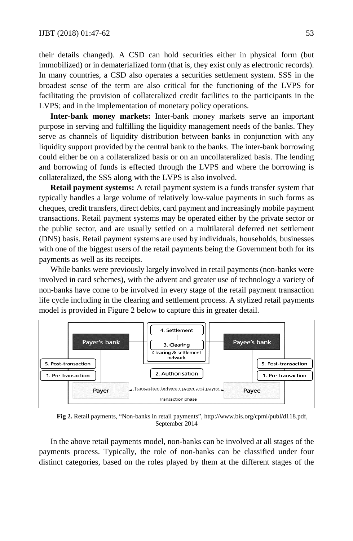their details changed). A CSD can hold securities either in physical form (but immobilized) or in dematerialized form (that is, they exist only as electronic records). In many countries, a CSD also operates a securities settlement system. SSS in the broadest sense of the term are also critical for the functioning of the LVPS for facilitating the provision of collateralized credit facilities to the participants in the LVPS; and in the implementation of monetary policy operations.

**Inter-bank money markets:** Inter-bank money markets serve an important purpose in serving and fulfilling the liquidity management needs of the banks. They serve as channels of liquidity distribution between banks in conjunction with any liquidity support provided by the central bank to the banks. The inter-bank borrowing could either be on a collateralized basis or on an uncollateralized basis. The lending and borrowing of funds is effected through the LVPS and where the borrowing is collateralized, the SSS along with the LVPS is also involved.

**Retail payment systems:** A retail payment system is a funds transfer system that typically handles a large volume of relatively low-value payments in such forms as cheques, credit transfers, direct debits, card payment and increasingly mobile payment transactions. Retail payment systems may be operated either by the private sector or the public sector, and are usually settled on a multilateral deferred net settlement (DNS) basis. Retail payment systems are used by individuals, households, businesses with one of the biggest users of the retail payments being the Government both for its payments as well as its receipts.

While banks were previously largely involved in retail payments (non-banks were involved in card schemes), with the advent and greater use of technology a variety of non-banks have come to be involved in every stage of the retail payment transaction life cycle including in the clearing and settlement process. A stylized retail payments model is provided in Figure 2 below to capture this in greater detail.



**Fig 2.** Retail payments, "Non-banks in retail payments", http://www.bis.org/cpmi/publ/d118.pdf, September 2014

In the above retail payments model, non-banks can be involved at all stages of the payments process. Typically, the role of non-banks can be classified under four distinct categories, based on the roles played by them at the different stages of the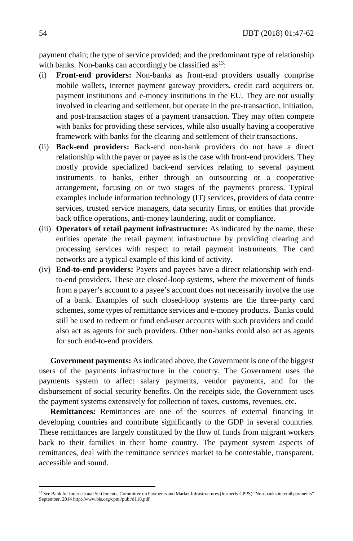payment chain; the type of service provided; and the predominant type of relationship with banks. Non-banks can accordingly be classified as  $13$ :

- (i) **Front-end providers:** Non-banks as front-end providers usually comprise mobile wallets, internet payment gateway providers, credit card acquirers or, payment institutions and e-money institutions in the EU. They are not usually involved in clearing and settlement, but operate in the pre-transaction, initiation, and post-transaction stages of a payment transaction. They may often compete with banks for providing these services, while also usually having a cooperative framework with banks for the clearing and settlement of their transactions.
- (ii) **Back-end providers:** Back-end non-bank providers do not have a direct relationship with the payer or payee as is the case with front-end providers. They mostly provide specialized back-end services relating to several payment instruments to banks, either through an outsourcing or a cooperative arrangement, focusing on or two stages of the payments process. Typical examples include information technology (IT) services, providers of data centre services, trusted service managers, data security firms, or entities that provide back office operations, anti-money laundering, audit or compliance.
- (iii) **Operators of retail payment infrastructure:** As indicated by the name, these entities operate the retail payment infrastructure by providing clearing and processing services with respect to retail payment instruments. The card networks are a typical example of this kind of activity.
- (iv) **End-to-end providers:** Payers and payees have a direct relationship with endto-end providers. These are closed-loop systems, where the movement of funds from a payer's account to a payee's account does not necessarily involve the use of a bank. Examples of such closed-loop systems are the three-party card schemes, some types of remittance services and e-money products. Banks could still be used to redeem or fund end-user accounts with such providers and could also act as agents for such providers. Other non-banks could also act as agents for such end-to-end providers.

**Government payments:** As indicated above, the Government is one of the biggest users of the payments infrastructure in the country. The Government uses the payments system to affect salary payments, vendor payments, and for the disbursement of social security benefits. On the receipts side, the Government uses the payment systems extensively for collection of taxes, customs, revenues, etc.

**Remittances:** Remittances are one of the sources of external financing in developing countries and contribute significantly to the GDP in several countries. These remittances are largely constituted by the flow of funds from migrant workers back to their families in their home country. The payment system aspects of remittances, deal with the remittance services market to be contestable, transparent, accessible and sound.

<span id="page-7-0"></span><sup>&</sup>lt;sup>13</sup> See Bank for International Settlements, Committee on Payments and Market Infrastructures (formerly CPPS) "Non-banks in retail payments" September, 2014 http://www.bis.org/cpmi/publ/d118.pdf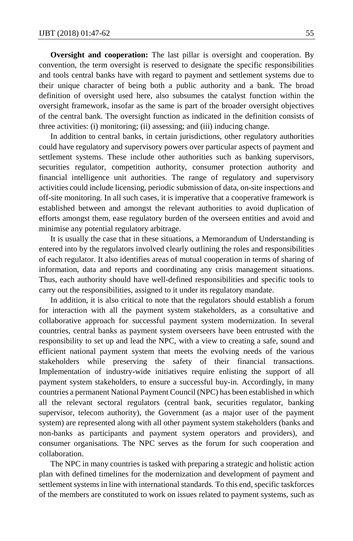**Oversight and cooperation:** The last pillar is oversight and cooperation. By convention, the term oversight is reserved to designate the specific responsibilities and tools central banks have with regard to payment and settlement systems due to their unique character of being both a public authority and a bank. The broad definition of oversight used here, also subsumes the catalyst function within the oversight framework, insofar as the same is part of the broader oversight objectives of the central bank. The oversight function as indicated in the definition consists of three activities: (i) monitoring; (ii) assessing; and (iii) inducing change.

In addition to central banks, in certain jurisdictions, other regulatory authorities could have regulatory and supervisory powers over particular aspects of payment and settlement systems. These include other authorities such as banking supervisors, securities regulator, competition authority, consumer protection authority and financial intelligence unit authorities. The range of regulatory and supervisory activities could include licensing, periodic submission of data, on-site inspections and off-site monitoring. In all such cases, it is imperative that a cooperative framework is established between and amongst the relevant authorities to avoid duplication of efforts amongst them, ease regulatory burden of the overseen entities and avoid and minimise any potential regulatory arbitrage.

It is usually the case that in these situations, a Memorandum of Understanding is entered into by the regulators involved clearly outlining the roles and responsibilities of each regulator. It also identifies areas of mutual cooperation in terms of sharing of information, data and reports and coordinating any crisis management situations. Thus, each authority should have well-defined responsibilities and specific tools to carry out the responsibilities, assigned to it under its regulatory mandate.

In addition, it is also critical to note that the regulators should establish a forum for interaction with all the payment system stakeholders, as a consultative and collaborative approach for successful payment system modernization. In several countries, central banks as payment system overseers have been entrusted with the responsibility to set up and lead the NPC, with a view to creating a safe, sound and efficient national payment system that meets the evolving needs of the various stakeholders while preserving the safety of their financial transactions. Implementation of industry-wide initiatives require enlisting the support of all payment system stakeholders, to ensure a successful buy-in. Accordingly, in many countries a permanent National Payment Council (NPC) has been established in which all the relevant sectoral regulators (central bank, securities regulator, banking supervisor, telecom authority), the Government (as a major user of the payment system) are represented along with all other payment system stakeholders (banks and non-banks as participants and payment system operators and providers), and consumer organisations. The NPC serves as the forum for such cooperation and collaboration.

The NPC in many countries is tasked with preparing a strategic and holistic action plan with defined timelines for the modernization and development of payment and settlement systems in line with international standards. To this end, specific taskforces of the members are constituted to work on issues related to payment systems, such as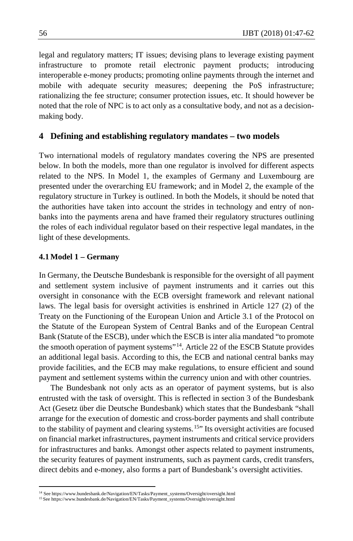legal and regulatory matters; IT issues; devising plans to leverage existing payment infrastructure to promote retail electronic payment products; introducing interoperable e-money products; promoting online payments through the internet and mobile with adequate security measures; deepening the PoS infrastructure; rationalizing the fee structure; consumer protection issues, etc. It should however be noted that the role of NPC is to act only as a consultative body, and not as a decisionmaking body.

## **4 Defining and establishing regulatory mandates – two models**

Two international models of regulatory mandates covering the NPS are presented below. In both the models, more than one regulator is involved for different aspects related to the NPS. In Model 1, the examples of Germany and Luxembourg are presented under the overarching EU framework; and in Model 2, the example of the regulatory structure in Turkey is outlined. In both the Models, it should be noted that the authorities have taken into account the strides in technology and entry of nonbanks into the payments arena and have framed their regulatory structures outlining the roles of each individual regulator based on their respective legal mandates, in the light of these developments.

#### **4.1 Model 1 – Germany**

In Germany, the Deutsche Bundesbank is responsible for the oversight of all payment and settlement system inclusive of payment instruments and it carries out this oversight in consonance with the ECB oversight framework and relevant national laws. The legal basis for oversight activities is enshrined in Article 127 (2) of the Treaty on the Functioning of the European Union and Article 3.1 of the Protocol on the Statute of the European System of Central Banks and of the European Central Bank (Statute of the ESCB), under which the ESCB is inter alia mandated "to promote the smooth operation of payment systems"[14.](#page-9-0) Article 22 of the ESCB Statute provides an additional legal basis. According to this, the ECB and national central banks may provide facilities, and the ECB may make regulations, to ensure efficient and sound payment and settlement systems within the currency union and with other countries.

The Bundesbank not only acts as an operator of payment systems, but is also entrusted with the task of oversight. This is reflected in section 3 of the Bundesbank Act (Gesetz über die Deutsche Bundesbank) which states that the Bundesbank "shall arrange for the execution of domestic and cross-border payments and shall contribute to the stability of payment and clearing systems.<sup>[15](#page-9-1)</sup>" Its oversight activities are focused on financial market infrastructures, payment instruments and critical service providers for infrastructures and banks. Amongst other aspects related to payment instruments, the security features of payment instruments, such as payment cards, credit transfers, direct debits and e-money, also forms a part of Bundesbank's oversight activities.

<sup>14</sup> See https://www.bundesbank.de/Navigation/EN/Tasks/Payment\_systems/Oversight/oversight.html

<span id="page-9-1"></span><span id="page-9-0"></span><sup>15</sup> See https://www.bundesbank.de/Navigation/EN/Tasks/Payment\_systems/Oversight/oversight.html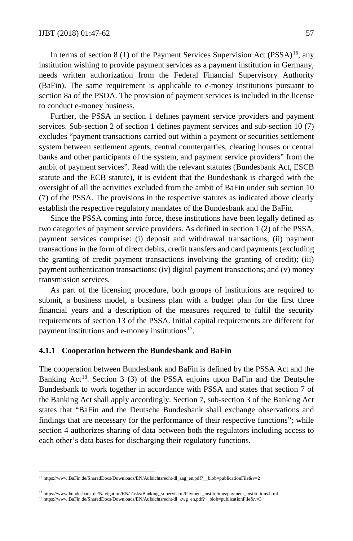In terms of section 8 (1) of the Payment Services Supervision Act (PSSA)<sup>16</sup>, any institution wishing to provide payment services as a payment institution in Germany, needs written authorization from the Federal Financial Supervisory Authority (BaFin). The same requirement is applicable to e-money institutions pursuant to section 8a of the PSOA. The provision of payment services is included in the license to conduct e-money business.

Further, the PSSA in section 1 defines payment service providers and payment services. Sub-section 2 of section 1 defines payment services and sub-section 10 (7) excludes "payment transactions carried out within a payment or securities settlement system between settlement agents, central counterparties, clearing houses or central banks and other participants of the system, and payment service providers" from the ambit of payment services". Read with the relevant statutes (Bundesbank Act, ESCB statute and the ECB statute), it is evident that the Bundesbank is charged with the oversight of all the activities excluded from the ambit of BaFin under sub section 10 (7) of the PSSA. The provisions in the respective statutes as indicated above clearly establish the respective regulatory mandates of the Bundesbank and the BaFin.

Since the PSSA coming into force, these institutions have been legally defined as two categories of payment service providers. As defined in section 1 (2) of the PSSA, payment services comprise: (i) deposit and withdrawal transactions; (ii) payment transactions in the form of direct debits, credit transfers and card payments (excluding the granting of credit payment transactions involving the granting of credit); (iii) payment authentication transactions; (iv) digital payment transactions; and (v) money transmission services.

As part of the licensing procedure, both groups of institutions are required to submit, a business model, a business plan with a budget plan for the first three financial years and a description of the measures required to fulfil the security requirements of section 13 of the PSSA. Initial capital requirements are different for payment institutions and e-money institutions<sup>[17](#page-10-1)</sup>.

#### **4.1.1 Cooperation between the Bundesbank and BaFin**

The cooperation between Bundesbank and BaFin is defined by the PSSA Act and the Banking Act<sup>18</sup>. Section 3 (3) of the PSSA enjoins upon BaFin and the Deutsche Bundesbank to work together in accordance with PSSA and states that section 7 of the Banking Act shall apply accordingly. Section 7, sub-section 3 of the Banking Act states that "BaFin and the Deutsche Bundesbank shall exchange observations and findings that are necessary for the performance of their respective functions"; while section 4 authorizes sharing of data between both the regulators including access to each other's data bases for discharging their regulatory functions.

<span id="page-10-0"></span><sup>16</sup> https://www.BaFin.de/SharedDocs/Downloads/EN/Aufsichtsrecht/dl\_zag\_en.pdf?\_\_blob=publicationFile&v=2

<span id="page-10-2"></span><span id="page-10-1"></span><sup>17</sup> https://www.bundesbank.de/Navigation/EN/Tasks/Banking\_supervision/Payment\_institutions/payment\_institutions.html <sup>18</sup> https://www.BaFin.de/SharedDocs/Downloads/EN/Aufsichtsrecht/dl\_kwg\_en.pdf?\_\_blob=publicationFile&v=3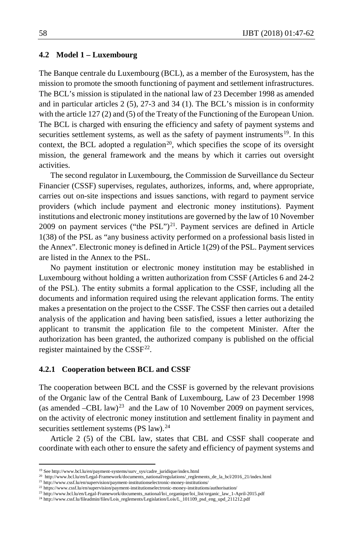#### **4.2 Model 1 – Luxembourg**

The Banque centrale du Luxembourg (BCL), as a member of the Eurosystem, has the mission to promote the smooth functioning of payment and settlement infrastructures. The BCL's mission is stipulated in the national law of 23 December 1998 as amended and in particular articles 2 (5), 27-3 and 34 (1). The BCL's mission is in conformity with the article 127 (2) and (5) of the Treaty of the Functioning of the European Union. The BCL is charged with ensuring the efficiency and safety of payment systems and securities settlement systems, as well as the safety of payment instruments $19$ . In this context, the BCL adopted a regulation<sup>20</sup>, which specifies the scope of its oversight mission, the general framework and the means by which it carries out oversight activities.

The second regulator in Luxembourg, the Commission de Surveillance du Secteur Financier (CSSF) supervises, regulates, authorizes, informs, and, where appropriate, carries out on-site inspections and issues sanctions, with regard to payment service providers (which include payment and electronic money institutions). Payment institutions and electronic money institutions are governed by the law of 10 November 2009 on payment services ("the PSL")<sup>21</sup>. Payment services are defined in Article 1(38) of the PSL as "any business activity performed on a professional basis listed in the Annex". Electronic money is defined in Article 1(29) of the PSL. Payment services are listed in the Annex to the PSL.

No payment institution or electronic money institution may be established in Luxembourg without holding a written authorization from CSSF (Articles 6 and 24-2 of the PSL). The entity submits a formal application to the CSSF, including all the documents and information required using the relevant application forms. The entity makes a presentation on the project to the CSSF. The CSSF then carries out a detailed analysis of the application and having been satisfied, issues a letter authorizing the applicant to transmit the application file to the competent Minister. After the authorization has been granted, the authorized company is published on the official register maintained by the  $CSSF<sup>22</sup>$  $CSSF<sup>22</sup>$  $CSSF<sup>22</sup>$ .

#### **4.2.1 Cooperation between BCL and CSSF**

The cooperation between BCL and the CSSF is governed by the relevant provisions of the Organic law of the Central Bank of Luxembourg, Law of 23 December 1998 (as amended  $-CBL$  law)<sup>23</sup> and the Law of 10 November 2009 on payment services, on the activity of electronic money institution and settlement finality in payment and securities settlement systems (PS law). $24$ 

Article 2 (5) of the CBL law, states that CBL and CSSF shall cooperate and coordinate with each other to ensure the safety and efficiency of payment systems and

l

<span id="page-11-0"></span><sup>19</sup> See http://www.bcl.lu/en/payment-systems/surv\_sys/cadre\_juridique/index.html

<sup>20</sup> http://www.bcl.lu/en/Legal-Framework/documents\_national/regulations/\_reglements\_de\_la\_bcl/2016\_21/index.html

<span id="page-11-2"></span><span id="page-11-1"></span><sup>21</sup> http://www.cssf.lu/en/supervision/payment-institutionselectronic-money-institutions/ <sup>22</sup> https://www.cssf.lu/en/supervision/payment-institutionselectronic-money-institutions/authorisation/

<span id="page-11-4"></span><span id="page-11-3"></span><sup>23</sup> http://www.bcl.lu/en/Legal-Framework/documents\_national/loi\_organique/loi\_list/organic\_law\_1-April-2015.pdf

<span id="page-11-5"></span><sup>24</sup> http://www.cssf.lu/fileadmin/files/Lois\_reglements/Legislation/Lois/L\_101109\_psd\_eng\_upd\_211212.pdf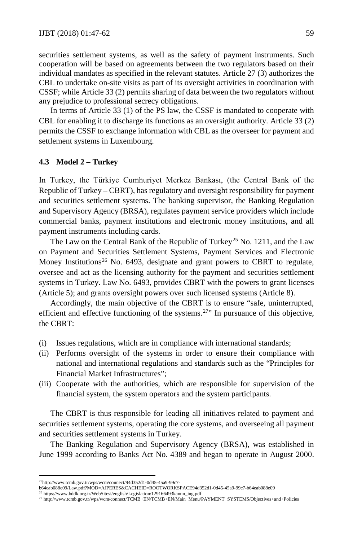securities settlement systems, as well as the safety of payment instruments. Such cooperation will be based on agreements between the two regulators based on their individual mandates as specified in the relevant statutes. Article 27 (3) authorizes the CBL to undertake on-site visits as part of its oversight activities in coordination with CSSF; while Article 33 (2) permits sharing of data between the two regulators without any prejudice to professional secrecy obligations.

In terms of Article 33 (1) of the PS law, the CSSF is mandated to cooperate with CBL for enabling it to discharge its functions as an oversight authority. Article 33 (2) permits the CSSF to exchange information with CBL as the overseer for payment and settlement systems in Luxembourg.

#### **4.3 Model 2 – Turkey**

In Turkey, the Türkiye Cumhuriyet Merkez Bankası, (the Central Bank of the Republic of Turkey – CBRT), has regulatory and oversight responsibility for payment and securities settlement systems. The banking supervisor, the Banking Regulation and Supervisory Agency (BRSA), regulates payment service providers which include commercial banks, payment institutions and electronic money institutions, and all payment instruments including cards.

The Law on the Central Bank of the Republic of Turkey<sup>[25](#page-12-0)</sup> No. 1211, and the Law on Payment and Securities Settlement Systems, Payment Services and Electronic Money Institutions<sup>[26](#page-12-1)</sup> No. 6493, designate and grant powers to CBRT to regulate, oversee and act as the licensing authority for the payment and securities settlement systems in Turkey. Law No. 6493, provides CBRT with the powers to grant licenses (Article 5); and grants oversight powers over such licensed systems (Article 8).

Accordingly, the main objective of the CBRT is to ensure "safe, uninterrupted, efficient and effective functioning of the systems.<sup>27</sup>" In pursuance of this objective, the CBRT:

- (i) Issues regulations, which are in compliance with international standards;
- (ii) Performs oversight of the systems in order to ensure their compliance with national and international regulations and standards such as the "Principles for Financial Market Infrastructures";
- (iii) Cooperate with the authorities, which are responsible for supervision of the financial system, the system operators and the system participants.

The CBRT is thus responsible for leading all initiatives related to payment and securities settlement systems, operating the core systems, and overseeing all payment and securities settlement systems in Turkey.

The Banking Regulation and Supervisory Agency (BRSA), was established in June 1999 according to Banks Act No. 4389 and began to operate in August 2000.

<span id="page-12-0"></span><sup>25</sup>http://www.tcmb.gov.tr/wps/wcm/connect/94d352d1-0d45-45a9-99c7-

b64eab088e09/Law.pdf?MOD=AJPERES&CACHEID=ROOTWORKSPACE94d352d1-0d45-45a9-99c7-b64eab088e09

<span id="page-12-2"></span><span id="page-12-1"></span><sup>26</sup> https://www.bddk.org.tr/WebSitesi/english/Legislation/129166493kanun\_ing.pdf

<sup>27</sup> http://www.tcmb.gov.tr/wps/wcm/connect/TCMB+EN/TCMB+EN/Main+Menu/PAYMENT+SYSTEMS/Objectives+and+Policies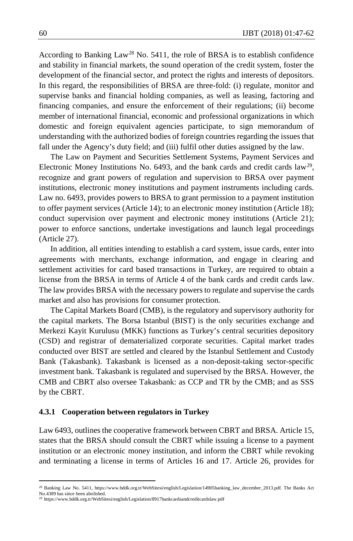According to Banking  $Law^{28}$  $Law^{28}$  $Law^{28}$  No. 5411, the role of BRSA is to establish confidence and stability in financial markets, the sound operation of the credit system, foster the development of the financial sector, and protect the rights and interests of depositors. In this regard, the responsibilities of BRSA are three-fold: (i) regulate, monitor and supervise banks and financial holding companies, as well as leasing, factoring and financing companies, and ensure the enforcement of their regulations; (ii) become member of international financial, economic and professional organizations in which domestic and foreign equivalent agencies participate, to sign memorandum of understanding with the authorized bodies of foreign countries regarding the issues that fall under the Agency's duty field; and (iii) fulfil other duties assigned by the law.

The Law on Payment and Securities Settlement Systems, Payment Services and Electronic Money Institutions No. 6493, and the bank cards and credit cards  $law<sup>29</sup>$  $law<sup>29</sup>$  $law<sup>29</sup>$ , recognize and grant powers of regulation and supervision to BRSA over payment institutions, electronic money institutions and payment instruments including cards. Law no. 6493, provides powers to BRSA to grant permission to a payment institution to offer payment services (Article 14); to an electronic money institution (Article 18); conduct supervision over payment and electronic money institutions (Article 21); power to enforce sanctions, undertake investigations and launch legal proceedings (Article 27).

In addition, all entities intending to establish a card system, issue cards, enter into agreements with merchants, exchange information, and engage in clearing and settlement activities for card based transactions in Turkey, are required to obtain a license from the BRSA in terms of Article 4 of the bank cards and credit cards law. The law provides BRSA with the necessary powers to regulate and supervise the cards market and also has provisions for consumer protection.

The Capital Markets Board (CMB), is the regulatory and supervisory authority for the capital markets. The Borsa Istanbul (BIST) is the only securities exchange and Merkezi Kayit Kurulusu (MKK) functions as Turkey's central securities depository (CSD) and registrar of dematerialized corporate securities. Capital market trades conducted over BIST are settled and cleared by the Istanbul Settlement and Custody Bank (Takasbank). Takasbank is licensed as a non-deposit-taking sector-specific investment bank. Takasbank is regulated and supervised by the BRSA. However, the CMB and CBRT also oversee Takasbank: as CCP and TR by the CMB; and as SSS by the CBRT.

#### **4.3.1 Cooperation between regulators in Turkey**

Law 6493, outlines the cooperative framework between CBRT and BRSA. Article 15, states that the BRSA should consult the CBRT while issuing a license to a payment institution or an electronic money institution, and inform the CBRT while revoking and terminating a license in terms of Articles 16 and 17. Article 26, provides for

l

<span id="page-13-0"></span><sup>28</sup> Banking Law No. 5411, https://www.bddk.org.tr/WebSitesi/english/Legislation/14905banking\_law\_december\_2013.pdf. The Banks Act No.4389 has since been abolished.

<span id="page-13-1"></span><sup>29</sup> https://www.bddk.org.tr/WebSitesi/english/Legislation/8917bankcardsandcreditcardslaw.pdf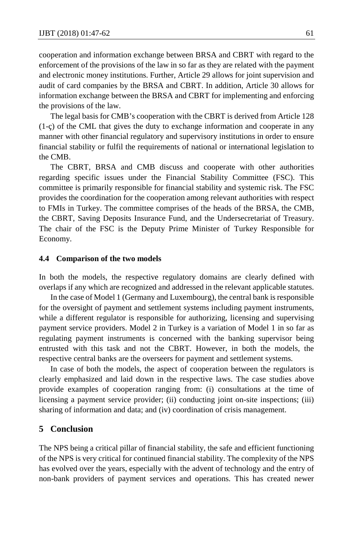cooperation and information exchange between BRSA and CBRT with regard to the enforcement of the provisions of the law in so far as they are related with the payment and electronic money institutions. Further, Article 29 allows for joint supervision and audit of card companies by the BRSA and CBRT. In addition, Article 30 allows for information exchange between the BRSA and CBRT for implementing and enforcing the provisions of the law.

The legal basis for CMB's cooperation with the CBRT is derived from Article 128 (1-ç) of the CML that gives the duty to exchange information and cooperate in any manner with other financial regulatory and supervisory institutions in order to ensure financial stability or fulfil the requirements of national or international legislation to the CMB.

The CBRT, BRSA and CMB discuss and cooperate with other authorities regarding specific issues under the Financial Stability Committee (FSC). This committee is primarily responsible for financial stability and systemic risk. The FSC provides the coordination for the cooperation among relevant authorities with respect to FMIs in Turkey. The committee comprises of the heads of the BRSA, the CMB, the CBRT, Saving Deposits Insurance Fund, and the Undersecretariat of Treasury. The chair of the FSC is the Deputy Prime Minister of Turkey Responsible for Economy.

#### **4.4 Comparison of the two models**

In both the models, the respective regulatory domains are clearly defined with overlaps if any which are recognized and addressed in the relevant applicable statutes.

In the case of Model 1 (Germany and Luxembourg), the central bank is responsible for the oversight of payment and settlement systems including payment instruments, while a different regulator is responsible for authorizing, licensing and supervising payment service providers. Model 2 in Turkey is a variation of Model 1 in so far as regulating payment instruments is concerned with the banking supervisor being entrusted with this task and not the CBRT. However, in both the models, the respective central banks are the overseers for payment and settlement systems.

In case of both the models, the aspect of cooperation between the regulators is clearly emphasized and laid down in the respective laws. The case studies above provide examples of cooperation ranging from: (i) consultations at the time of licensing a payment service provider; (ii) conducting joint on-site inspections; (iii) sharing of information and data; and (iv) coordination of crisis management.

## **5 Conclusion**

The NPS being a critical pillar of financial stability, the safe and efficient functioning of the NPS is very critical for continued financial stability. The complexity of the NPS has evolved over the years, especially with the advent of technology and the entry of non-bank providers of payment services and operations. This has created newer